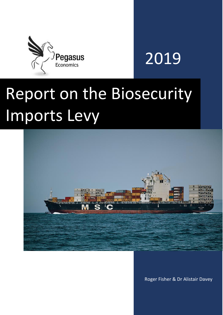

## 2019

# Report on the Biosecurity Imports Levy



Roger Fisher & Dr Alistair Davey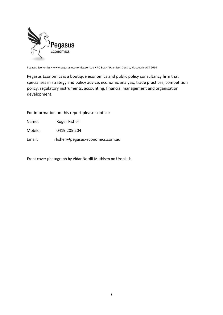

Pegasus Economics • www.pegasus-economics.com.au • PO Box 449 Jamison Centre, Macquarie ACT 2614

Pegasus Economics is a boutique economics and public policy consultancy firm that specialises in strategy and policy advice, economic analysis, trade practices, competition policy, regulatory instruments, accounting, financial management and organisation development.

For information on this report please contact:

Name: Roger Fisher

Mobile: 0419 205 204

Email: rfisher@pegasus-economics.com.au

Front cover photograph by Vidar Nordli-Mathisen on Unsplash.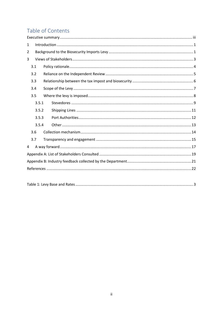## Table of Contents

| 1     |       |  |  |  |  |  |  |  |
|-------|-------|--|--|--|--|--|--|--|
| 2     |       |  |  |  |  |  |  |  |
| 3     |       |  |  |  |  |  |  |  |
|       | 3.1   |  |  |  |  |  |  |  |
| 3.2   |       |  |  |  |  |  |  |  |
| 3.3   |       |  |  |  |  |  |  |  |
|       | 3.4   |  |  |  |  |  |  |  |
|       | 3.5   |  |  |  |  |  |  |  |
|       | 3.5.1 |  |  |  |  |  |  |  |
|       | 3.5.2 |  |  |  |  |  |  |  |
| 3.5.3 |       |  |  |  |  |  |  |  |
|       | 3.5.4 |  |  |  |  |  |  |  |
|       | 3.6   |  |  |  |  |  |  |  |
| 3.7   |       |  |  |  |  |  |  |  |
| 4     |       |  |  |  |  |  |  |  |
|       |       |  |  |  |  |  |  |  |
|       |       |  |  |  |  |  |  |  |
|       |       |  |  |  |  |  |  |  |
|       |       |  |  |  |  |  |  |  |

|--|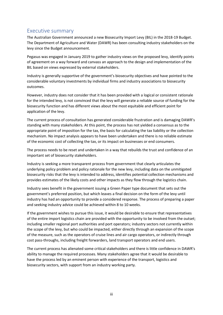## <span id="page-3-0"></span>Executive summary

The Australian Government announced a new Biosecurity Import Levy (BIL) in the 2018-19 Budget. The Department of Agriculture and Water (DAWR) has been consulting industry stakeholders on the levy since the Budget announcement.

Pegasus was engaged in January 2019 to gather industry views on the proposed levy, identify points of agreement on a way forward and canvass an approach to the design and implementation of the BIL based on views expressed by external stakeholders.

Industry is generally supportive of the government's biosecurity objectives and have pointed to the considerable voluntary investments by individual firms and industry associations to biosecurity outcomes.

However, industry does not consider that it has been provided with a logical or consistent rationale for the intended levy, is not convinced that the levy will generate a reliable source of funding for the biosecurity function and has different views about the most equitable and efficient point for application of the levy.

The current process of consultation has generated considerable frustration and is damaging DAWR's standing with many stakeholders. At this point, the process has not yielded a consensus as to the appropriate point of imposition for the tax, the basis for calculating the tax liability or the collection mechanism. No impact analysis appears to have been undertaken and there is no reliable estimate of the economic cost of collecting the tax, or its impact on businesses or end consumers.

The process needs to be reset and undertaken in a way that rebuilds the trust and confidence of an important set of biosecurity stakeholders.

Industry is seeking a more transparent process from government that clearly articulates the underlying policy problem and policy rationale for the new levy, including data on the unmitigated biosecurity risks that the levy is intended to address, identifies potential collection mechanisms and provides estimates of the likely costs and other impacts as they flow through the logistics chain.

Industry sees benefit in the government issuing a Green Paper type document that sets out the government's preferred position, but which leaves a final decision on the form of the levy until industry has had an opportunity to provide a considered response. The process of preparing a paper and seeking industry advice could be achieved within 8 to 10 weeks.

If the government wishes to pursue this issue, it would be desirable to ensure that representatives of the entire import logistics chain are provided with the opportunity to be involved from the outset; including smaller regional port authorities and port operators; industry sectors not currently within the scope of the levy, but who could be impacted, either directly through an expansion of the scope of the measure, such as the operators of cruise lines and air cargo operators, or indirectly through cost pass-throughs, including freight forwarders, land transport operators and end users.

The current process has alienated some critical stakeholders and there is little confidence in DAWR's ability to manage the required processes. Many stakeholders agree that it would be desirable to have the process led by an eminent person with experience of the transport, logistics and biosecurity sectors, with support from an industry working party.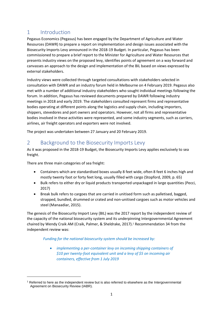## <span id="page-4-0"></span>1 Introduction

Pegasus Economics (Pegasus) has been engaged by the Department of Agriculture and Water Resources (DAWR) to prepare a report on implementation and design issues associated with the Biosecurity Imports Levy announced in the 2018-19 Budget. In particular, Pegasus has been commissioned to prepare a brief report to the Minister for Agriculture and Water Resources that presents industry views on the proposed levy, identifies points of agreement on a way forward and canvasses an approach to the design and implementation of the BIL based on views expressed by external stakeholders.

Industry views were collected through targeted consultations with stakeholders selected in consultation with DAWR and an industry forum held in Melbourne on 4 February 2019. Pegasus also met with a number of additional industry stakeholders who sought individual meetings following the forum. In addition, Pegasus has reviewed documents prepared by DAWR following industry meetings in 2018 and early 2019. The stakeholders consulted represent firms and representative bodies operating at different points along the logistics and supply chain, including importers, shippers, stevedores and port owners and operators. However, not all firms and representative bodies involved in these activities were represented, and some industry segments, such as carriers, airlines, air freight operators and exporters were not involved.

The project was undertaken between 27 January and 20 February 2019.

## <span id="page-4-1"></span>2 Background to the Biosecurity Imports Levy

As it was proposed in the 2018-19 Budget, the Biosecurity Imports Levy applies exclusively to sea freight.

There are three main categories of sea freight:

 $\overline{\phantom{a}}$ 

- Containers which are standardised boxes usually 8 feet wide, often 8 feet 6 inches high and mostly twenty foot or forty feet long, usually filled with cargo (Stopford, 2009, p. 65)
- Bulk refers to either dry or liquid products transported unpackaged in large quantities (Pecci, 2017)
- Break bulk refers to cargoes that are carried in unitised form such as palletised, bagged, strapped, bundled, drummed or crated and non-unitised cargoes such as motor vehicles and steel (Manaadiar, 2015).

The genesis of the Biosecurity Import Levy (BIL) was the 2017 report by the independent review of the capacity of the national biosecurity system and its underpinning Intergovernmental Agreement chaired by Wendy Craik AM (Craik, Palmer, & Sheldrake, 2017). <sup>1</sup> Recommendation 34 from the independent review was:

#### *Funding for the national biosecurity system should be increased by:*

• *implementing a per-container levy on incoming shipping containers of \$10 per twenty-foot equivalent unit and a levy of \$5 on incoming air containers, effective from 1 July 2019* 

<sup>1</sup> Referred to here as the independent review but is also referred to elsewhere as the Intergovernmental Agreement on Biosecurity Review (IABR).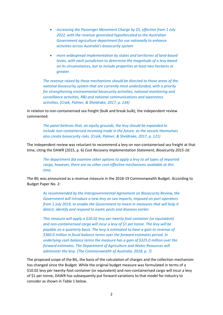- *increasing the Passenger Movement Charge by \$5, effective from 1 July 2022, with the revenue generated hypothecated to the Australian Government agriculture department for use nationally to enhance activities across Australia's biosecurity system*
- *more widespread implementation by states and territories of land-based levies, with each jurisdiction to determine the magnitude of a levy based on its circumstances, but to include properties at least two hectares or greater.*

*The revenue raised by these mechanisms should be directed to those areas of the national biosecurity system that are currently most underfunded, with a priority for strengthening environmental biosecurity activities, national monitoring and surveillance activities, R&I and national communications and awareness activities. (Craik, Palmer, & Sheldrake, 2017, p. 134)*

In relation to non-containerised sea freight (bulk and break bulk), the independent review commented:

> *The panel believes that, on equity grounds, the levy should be expanded to include non-containerised incoming trade in the future, as the vessels themselves also create biosecurity risks. (Craik, Palmer, & Sheldrake, 2017, p. 121)*

The independent review was reluctant to recommend a levy on non-containerised sea freight at that time, citing the DAWR (2015, p. 6) *Cost Recovery Implementation Statement, Biosecurity 2015-16*:

*The department did examine other options to apply a levy to all types of imported cargo, however, there are no other cost-effective mechanisms available at this time.* 

The BIL was announced as a revenue measure in the 2018-19 Commonwealth Budget. According to Budget Paper No. 2:

*As recommended by the Intergovernmental Agreement on Biosecurity Review, the Government will introduce a new levy on sea imports, imposed on port operators from 1 July 2019, to enable the Government to invest in measures that will help it detect, identify and respond to exotic pests and diseases earlier.* 

*This measure will apply a \$10.02 levy per twenty foot container (or equivalent) and non-containerised cargo will incur a levy of \$1 per tonne. The levy will be payable on a quarterly basis. The levy is estimated to have a gain to revenue of \$360.0 million in fiscal balance terms over the forward estimates period. In underlying cash balance terms the measure has a gain of \$325.0 million over the forward estimates. The Department of Agriculture and Water Resources will administer the levy. (The Commonwealth of Australia, 2018, p. 7)*

The proposed scope of the BIL, the basis of the calculation of charges and the collection mechanism has changed since the Budget. While the original budget measure was formulated in terms of a \$10.02 levy per twenty-foot container (or equivalent) and non-containerised cargo will incur a levy of \$1 per tonne, DAWR has subsequently put forward variations to that model for industry to consider as shown in Table 1 below.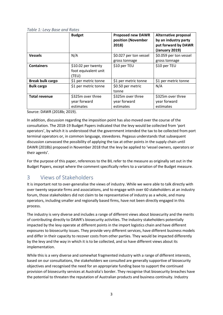#### <span id="page-6-1"></span>*Table 1: Levy Base and Rates*

|                         | <b>Budget</b>                                       | <b>Proposed new DAWR</b><br>position (November<br>2018) | <b>Alternative proposal</b><br>by an industry party<br>put forward by DAWR<br>(January 2019) |
|-------------------------|-----------------------------------------------------|---------------------------------------------------------|----------------------------------------------------------------------------------------------|
| <b>Vessels</b>          | N/A                                                 | \$0.027 per ton vessel                                  | \$0.059 per ton vessel                                                                       |
|                         |                                                     | gross tonnage                                           | gross tonnage                                                                                |
| <b>Containers</b>       | \$10.02 per twenty<br>foot equivalent unit<br>(TEU) | \$10 per TEU                                            | \$10 per TEU                                                                                 |
| <b>Break bulk cargo</b> | \$1 per metric tonne                                | \$1 per metric tonne                                    | \$1 per metric tonne                                                                         |
| <b>Bulk cargo</b>       | \$1 per metric tonne                                | \$0.50 per metric<br>tonne                              | N/A                                                                                          |
| <b>Total revenue</b>    | \$325m over three<br>year forward<br>estimates      | \$325m over three<br>year forward<br>estimates          | \$325m over three<br>year forward<br>estimates                                               |

Source: DAWR (2018b; 2019).

In addition, discussion regarding the imposition point has also moved over the course of the consultation. The 2018-19 Budget Papers indicated that the levy would be collected from 'port operators', by which it is understood that the government intended the tax to be collected from port terminal operators or, in common language, stevedores. Pegasus understands that subsequent discussion canvassed the possibility of applying the tax at other points in the supply chain until DAWR (2018b) proposed in November 2018 that the levy be applied to 'vessel owners, operators or their agents'.

For the purpose of this paper, references to the BIL refer to the measure as originally set out in the Budget Papers, except where the comment specifically refers to a variation of the Budget measure.

## <span id="page-6-0"></span>3 Views of Stakeholders

It is important not to over-generalise the views of industry. While we were able to talk directly with over twenty separate firms and associations, and to engage with over 60 stakeholders at an industry forum, those stakeholders did not claim to be representative of industry as a whole, and many operators, including smaller and regionally based firms, have not been directly engaged in this process.

The industry is very diverse and includes a range of different views about biosecurity and the merits of contributing directly to DAWR's biosecurity activities. The industry stakeholders potentially impacted by the levy operate at different points in the import logistics chain and have different exposures to biosecurity issues. They provide very different services, have different business models and differ in their capacity to recover costs from other parties. They would be impacted differently by the levy and the way in which it is to be collected, and so have different views about its implementation.

While this is a very diverse and somewhat fragmented industry with a range of different interests, based on our consultations, the stakeholders we consulted are generally supportive of biosecurity objectives and recognised the need for an appropriate funding base to support the continued provision of biosecurity services at Australia's border. They recognise that biosecurity breaches have the potential to threaten the reputation of Australian products and business continuity. Industry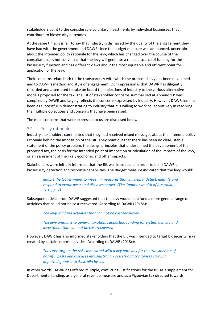stakeholders point to the considerable voluntary investments by individual businesses that contribute to biosecurity outcomes.

At the same time, it is fair to say that industry is dismayed by the quality of the engagement they have had with the government and DAWR since the budget measure was announced, uncertain about the intended policy rationale for the levy, which has changed over the course of the consultations, is not convinced that the levy will generate a reliable source of funding for the biosecurity function and has different views about the most equitable and efficient point for application of the levy.

Their concerns relate both to the transparency with which the proposed levy has been developed and to DAWR's method and style of engagement. Our impression is that DAWR has diligently recorded and attempted to take on board the objections of industry to the various alternative models proposed for the tax. The list of stakeholder concerns summarised at Appendix B was compiled by DAWR and largely reflects the concerns expressed by industry. However, DAWR has not been as successful in demonstrating to industry that it is willing to work collaboratively in resolving the multiple objections and concerns that have been raised.

The main concerns that were expressed to us are discussed below.

#### <span id="page-7-0"></span>3.1 Policy rationale

Industry stakeholders commented that they had received mixed messages about the intended policy rationale behind the imposition of the BIL. They point out that there has been no clear, stable statement of the policy problem, the design principles that underpinned the development of the proposed tax, the basis for the intended point of imposition or calculation of the impacts of the levy, or an assessment of the likely economic and other impacts.

Stakeholders were initially informed that the BIL was introduced in order to build DAWR's biosecurity detection and response capabilities. The Budget measure indicated that the levy would:

*enable the Government to invest in measures that will help it detect, identify and respond to exotic pests and diseases earlier. (The Commonwealth of Australia, 2018, p. 7)*

Subsequent advice from DAWR suggested that the levy would help fund a more general range of activities that could not be cost recovered. According to DAWR (2018a):

*The levy will fund activities that can not be cost recovered*

*The levy amounts to general taxation, supporting funding for system activity and investment that can not be cost recovered*

However, DAWR has also informed stakeholders that the BIL was intended to target biosecurity risks created by certain import activities. According to DAWR (2018c):

*The Levy targets the risks associated with a key pathway for the transmission of harmful pests and diseases into Australia - vessels and containers carrying imported goods into Australia by sea.* 

In other words, DAWR has offered multiple, conflicting justifications for the BIL as a supplement for Departmental funding, as a general revenue measure and as a Pigouvian tax directed towards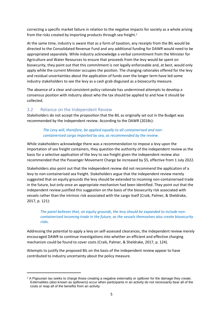correcting a specific market failure in relation to the negative impacts for society as a whole arising from the risks created by importing products through sea freight. 2

At the same time, industry is aware that as a form of taxation, any receipts from the BIL would be directed to the Consolidated Revenue Fund and any additional funding for DAWR would need to be appropriated separately. While industry acknowledge a verbal commitment from the Minister for Agriculture and Water Resources to ensure that proceeds from the levy would be spent on biosecurity, they point out that this commitment is not legally enforceable and, at best, would only apply while the current Minister occupies the position. The changing rationales offered for the levy and residual uncertainties about the application of funds over the longer term have led some industry stakeholders to see the levy as a cash grab disguised as a biosecurity measure.

The absence of a clear and consistent policy rationale has undermined attempts to develop a consensus position with industry about who the tax should be applied to and how it should be collected.

#### <span id="page-8-0"></span>3.2 Reliance on the Independent Review

**.** 

Stakeholders do not accept the proposition that the BIL as originally set out in the Budget was recommended by the independent review. According to the DAWR (2018c):

#### *The Levy will, therefore, be applied equally to all containerised and noncontainerised cargo imported by sea, as recommended by the review.*

While stakeholders acknowledge there was a recommendation to impose a levy upon the importation of sea freight containers, they question the authority of the independent review as the basis for a selective application of the levy to sea freight given the independent review also recommended that the Passenger Movement Charge be increased by \$5, effective from 1 July 2022.

Stakeholders also point out that the independent review did not recommend the application of a levy to non-containerised sea freight. Stakeholders argue that the independent review merely suggested that on equity grounds the levy should be extended to incoming non-containerised trade in the future, but only once an appropriate mechanism had been identified. They point out that the independent review justified this suggestion on the basis of the biosecurity risk associated with vessels rather than the intrinsic risk associated with the cargo itself (Craik, Palmer, & Sheldrake, 2017, p. 121):

#### The panel believes that, on equity grounds, the levy should be expanded to include non*containerised incoming trade in the future, as the vessels themselves also create biosecurity risks.*

Addressing the potential to apply a levy on self-assessed clearances, the independent review merely encouraged DAWR to continue investigations into whether an efficient and effective charging mechanism could be found to cover costs (Craik, Palmer, & Sheldrake, 2017, p. 124).

Attempts to justify the proposed BIL on the basis of the independent review appear to have contributed to industry uncertainty about the policy measure.

 $2$  A Pigouvian tax seeks to charge those creating a negative externality or spillover for the damage they create. Externalities (also known as spillovers) occur when participants in an activity do not necessarily bear all of the costs or reap all of the benefits from an activity.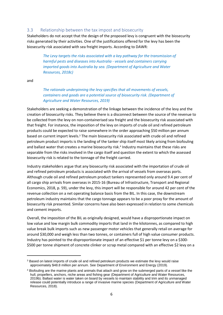#### <span id="page-9-0"></span>3.3 Relationship between the tax impost and biosecurity

Stakeholders do not accept that the design of the proposed levy is congruent with the biosecurity risks generated by their activities. One of the justifications offered for the levy has been the biosecurity risk associated with sea freight imports. According to DAWR:

*The Levy targets the risks associated with a key pathway for the transmission of harmful pests and diseases into Australia - vessels and containers carrying imported goods into Australia by sea. (Department of Agriculture and Water Resources, 2018c)*

and

1

*The rationale underpinning the levy specifies that all movements of vessels, containers and goods are a potential source of biosecurity risk. (Department of Agriculture and Water Resources, 2019)*

Stakeholders are seeking a demonstration of the linkage between the incidence of the levy and the creation of biosecurity risks. They believe there is a disconnect between the source of the revenue to be collected from the levy on non-containerised sea freight and the biosecurity risk associated with that freight. For instance, the imposition of the levy on imports of crude oil and refined petroleum products could be expected to raise somewhere in the order approaching \$50 million per annum based on current import levels.<sup>3</sup> The main biosecurity risk associated with crude oil and refined petroleum product imports is the landing of the tanker ship itself most likely arising from biofouling and ballast water that creates a marine biosecurity risk. 4 Industry maintains that these risks are separable from the risks involved in the cargo itself and question the extent to which the assessed biosecurity risk is related to the tonnage of the freight carried.

Industry stakeholders argue that any biosecurity risk associated with the importation of crude oil and refined petroleum products is associated with the arrival of vessels from overseas ports. Although crude oil and refined petroleum product tankers represented only around 9.4 per cent of all cargo ship arrivals from overseas in 2015-16 (Bureau of Infrastructure, Transport and Regional Economics, 2018, p. 59), under the levy, this import will be responsible for around 42 per cent of the revenue collection on a net operating balance basis from the BIL. In this case, the downstream petroleum industry maintains that the cargo tonnage appears to be a poor proxy for the amount of biosecurity risk presented. Similar concerns have also been expressed in relation to some chemicals and cement imports.

Overall, the imposition of the BIL as originally designed, would have a disproportionate impact on low value and low margin bulk commodity imports that land in the kilotonnes, as compared to high value break bulk imports such as new passenger motor vehicles that generally retail on average for around \$30,000 and weigh less than two tonnes, or containers full of high value consumer products. Industry has pointed to the disproportionate impact of an effective \$1 per tonne levy on a \$300- \$500 per tonne shipment of concrete clinker or scrap metal compared with an effective \$2 levy on a

<sup>&</sup>lt;sup>3</sup> Based on latest imports of crude oil and refined petroleum products we estimate the levy would raise approximately \$48.8 million per annum. See Department of Environment and Energy (2019).

<sup>4</sup> Biofouling are the marine plants and animals that attach and grow on the submerged parts of a vessel like the hull, propellers, anchors, niche areas and fishing gear (Department of Agriculture and Water Resources, 2019b). Ballast water is water taken on board by vessels to maintain stability and trim and its unmanaged release could potentially introduce a range of invasive marine species (Department of Agriculture and Water Resources, 2018).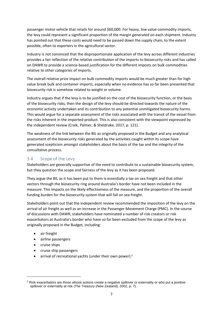passenger motor vehicle that retails for around \$60,000. For heavy, low value commodity imports, the levy could represent a significant proportion of the margin generated on each shipment. Industry has pointed out that these costs would need to be passed down the supply chain, to the extent possible, often to exporters in the agricultural sector.

Industry is not convinced that the disproportionate application of the levy across different industries provides a fair reflection of the relative contribution of the imports to biosecurity risks and has called on DAWR to provide a science-based justification for the different imposts on bulk commodities relative to other categories of imports.

The overall relative price impact on bulk commodity imports would be much greater than for high value break bulk and container imports, especially when no evidence has so far been presented that biosecurity risk is somehow related to weight or volume.

Industry argues that if the levy is to be justified on the cost of the biosecurity function, or the basis of the biosecurity risks, then the design of the levy should be directed towards the nature of the economic activity undertaken and its contribution to any potential unmitigated biosecurity harms. This would argue for a separate assessment of the risks associated with the transit of the vessel from the risks inherent in the imported product. This is also consistent with the viewpoint expressed by the independent review (Craik, Palmer, & Sheldrake, 2017, p. 121).

The weakness of the link between the BIL as originally proposed in the Budget and any analytical assessment of the biosecurity risks generated by the activities caught within its scope have generated scepticism amongst stakeholders about the basis of the tax and the integrity of the consultative process.

#### <span id="page-10-0"></span>3.4 Scope of the Levy

Stakeholders are generally supportive of the need to contribute to a sustainable biosecurity system, but they question the scope and fairness of the levy as it has been proposed.

They argue the BIL as it has been put to them is essentially a tax on sea freight and that other vectors through the biosecurity ring around Australia's border have not been included in the measure. This impacts on the likely effectiveness of the measure, and the proportion of the overall funding burden for the biosecurity system that will fall on sea freight.

Stakeholders point out that the independent review recommended the imposition of the levy on the arrival of air freight as well as an increase in the Passenger Movement Charge (PMC). In the course of discussions with DAWR, stakeholders have nominated a number of risk creators or risk exacerbators at Australia's border who have so far been excluded from the scope of the levy as originally proposed in the Budget, including:

- air freight
- airline passengers
- cruise ships

 $\overline{\phantom{a}}$ 

- cruise ship passengers
- arrival of recreational yachts (under their own power).<sup>5</sup>

<sup>5</sup> Risk exacerbators are those whose actions create a negative spillover or externality or who put a positive spillover or externality at risk (The Treasury (New Zealand), 2002, p. 7).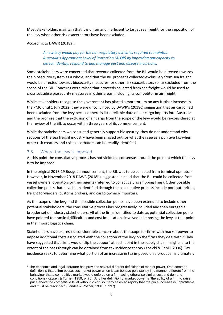Most stakeholders maintain that it is unfair and inefficient to target sea freight for the imposition of the levy when other risk exacerbators have been excluded.

#### According to DAWR (2018a):

#### *A new levy would pay for the non-regulatory activities required to maintain Australia's Appropriate Level of Protection (ALOP) by improving our capacity to detect, identify, respond to and manage pest and disease incursions.*

Some stakeholders were concerned that revenue collected from the BIL would be directed towards the biosecurity system as a whole, and that the BIL proceeds collected exclusively from sea freight would be directed towards biosecurity measures for other risk exacerbators so far excluded from the scope of the BIL. Concerns were raised that proceeds collected from sea freight would be used to cross subsidise biosecurity measures in other areas, including its competitor in air freight.

While stakeholders recognise the government has placed a moratorium on any further increase in the PMC until 1 July 2022, they were unconvinced by DAWR's (2018c) suggestion that air cargo had been excluded from the levy because there is little reliable data on air cargo imports into Australia and the promise that the exclusion of air cargo from the scope of the levy would be re-considered at the review of the BIL to occur within three years of its commencement.

While the stakeholders we consulted generally support biosecurity, they do not understand why sections of the sea freight industry have been singled out for what they see as a punitive tax when other risk creators and risk exacerbators can be readily identified.

#### <span id="page-11-0"></span>3.5 Where the levy is imposed

**.** 

At this point the consultative process has not yielded a consensus around the point at which the levy is to be imposed.

In the original 2018-19 Budget announcement, the BIL was to be collected from terminal operators. However, in November 2018 DAWR (2018b) suggested instead that the BIL could be collected from vessel owners, operators or their agents (referred to collectively as shipping lines). Other possible collection points that have been identified through the consultative process include port authorities, freight forwarders, customs brokers, and cargo owners/importers.

As the scope of the levy and the possible collection points have been extended to include other potential stakeholders, the consultative process has progressively included and then enraged a broader set of industry stakeholders. All of the firms identified to date as potential collection points have pointed to practical difficulties and cost implications involved in imposing the levy at that point in the import logistics chain.

Stakeholders have expressed considerable concern about the scope for firms with market power to impose additional costs associated with the collection of the levy on the firms they deal with. <sup>6</sup> They have suggested that firms would 'clip the coupon' at each point in the supply chain. Insights into the extent of the pass through can be obtained from tax incidence theory (Kosicki & Cahill, 2006). Tax incidence seeks to determine what portion of an increase in tax imposed on a producer is ultimately

<sup>&</sup>lt;sup>6</sup> The economic and legal literature has provided several different definitions of market power. One common definition is that a firm possesses market power when it can behave persistently in a manner different from the behaviour that a competitive market would enforce on a firm facing otherwise similar cost and demand conditions (Kaysen & Turner, 1959, p. 75). Another definition of market power is "the ability of a firm to raise price above the competitive level without losing so many sales so rapidly that the price increase is unprofitable and must be rescinded" (Landes & Posner, 1981, p. 937).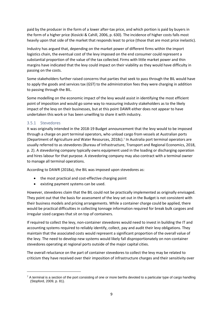paid by the producer in the form of a lower after-tax price, and which portion is paid by buyers in the form of a higher price (Kosicki & Cahill, 2006, p. 630). The incidence of higher costs falls most heavily upon that side of the market that responds least to price (those that are most price inelastic).

Industry has argued that, depending on the market power of different firms within the import logistics chain, the eventual cost of the levy imposed on the end consumer could represent a substantial proportion of the value of the tax collected. Firms with little market power and thin margins have indicated that the levy could impact on their viability as they would have difficulty in passing on the costs.

Some stakeholders further raised concerns that parties that seek to pass through the BIL would have to apply the goods and services tax (GST) to the administration fees they were charging in addition to passing through the BIL.

Some modelling on the economic impact of the levy would assist in identifying the most efficient point of imposition and would go some way to reassuring industry stakeholders as to the likely impact of the levy on their businesses, but at this point DAWR either does not appear to have undertaken this work or has been unwilling to share it with industry.

#### <span id="page-12-0"></span>3.5.1 Stevedores

**.** 

It was originally intended in the 2018-19 Budget announcement that the levy would to be imposed through a charge on port terminal operators, who unload cargo from vessels at Australian ports (Department of Agriculture and Water Resources, 2018c). 7 In Australia port terminal operators are usually referred to as stevedores (Bureau of Infrastructure, Transport and Regional Economics, 2018, p. 2). A stevedoring company typically owns equipment used in the loading or discharging operation and hires labour for that purpose. A stevedoring company may also contract with a terminal owner to manage all terminal operations.

According to DAWR (2018a), the BIL was imposed upon stevedores as:

- the most practical and cost-effective charging point
- existing payment systems can be used.

However, stevedores claim that the BIL could not be practically implemented as originally envisaged. They point out that the basis for assessment of the levy set out in the Budget is not consistent with their business models and pricing arrangements. While a container charge could be applied, there would be practical difficulties in collecting tonnage information required for break bulk cargoes and irregular sized cargoes that sit on top of containers.

If required to collect the levy, non-container stevedores would need to invest in building the IT and accounting systems required to reliably identify, collect, pay and audit their levy obligations. They maintain that the associated costs would represent a significant proportion of the overall value of the levy. The need to develop new systems would likely fall disproportionately on non-container stevedores operating at regional ports outside of the major capital cities.

The overall reluctance on the part of container stevedores to collect the levy may be related to criticism they have received over their imposition of infrastructure charges and their sensitivity over

 $7$  A terminal is a section of the port consisting of one or more berths devoted to a particular type of cargo handling (Stopford, 2009, p. 81).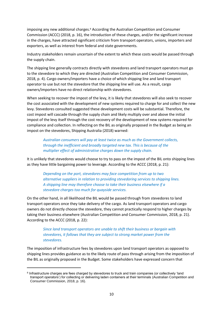imposing any new additional charges. <sup>8</sup> According the Australian Competition and Consumer Commission (ACCC) (2018, p. 16), the introduction of these charges, and/or the significant increase in the charges, have attracted significant criticism from transport operators, unions, importers and exporters, as well as interest from federal and state governments.

Industry stakeholders remain uncertain of the extent to which these costs would be passed through the supply chain.

The shipping line generally contracts directly with stevedores and land transport operators must go to the stevedore to which they are directed (Australian Competition and Consumer Commission, 2018, p. 4). Cargo owners/importers have a choice of which shipping line and land transport operator to use but not the stevedore that the shipping line will use. As a result, cargo owners/importers have no direct relationship with stevedores.

When seeking to recover the impost of the levy, it is likely that stevedores will also seek to recover the cost associated with the development of new systems required to charge for and collect the new levy. Stevedores consulted suggested these development costs will be substantial. Therefore, the cost impost will cascade through the supply chain and likely multiply over and above the initial impost of the levy itself through the cost recovery of the development of new systems required for compliance and collection. In reflecting on the BIL as originally proposed in the Budget as being an impost on the stevedores, Shipping Australia (2018) warned:

*Australian consumers will pay at least twice as much as the Government collects, through the inefficient and broadly targeted new tax. This is because of the multiplier effect of administrative charges down the supply chain.*

It is unlikely that stevedores would choose to try to pass on the impost of the BIL onto shipping lines as they have little bargaining power to leverage. According to the ACCC (2018, p. 21):

*Depending on the port, stevedores may face competition from up to two alternative suppliers in relation to providing stevedoring services to shipping lines. A shipping line may therefore choose to take their business elsewhere if a stevedore charges too much for quayside services.*

On the other hand, in all likelihood the BIL would be passed through from stevedores to land transport operators once they take delivery of the cargo. As land transport operators and cargo owners do not directly choose the stevedore, they cannot practically respond to higher charges by taking their business elsewhere (Australian Competition and Consumer Commission, 2018, p. 21). According to the ACCC (2018, p. 22):

#### *Since land transport operators are unable to shift their business or bargain with stevedores, it follows that they are subject to strong market power from the stevedores.*

The imposition of infrastructure fees by stevedores upon land transport operators as opposed to shipping lines provides guidance as to the likely route of pass through arising from the imposition of the BIL as originally proposed in the Budget. Some stakeholders have expressed concern that

**.** 

<sup>&</sup>lt;sup>8</sup> Infrastructure charges are fees charged by stevedores to truck and train companies (or collectively 'land transport operators') for collecting or delivering laden containers at their terminals (Australian Competition and Consumer Commission, 2018, p. 16).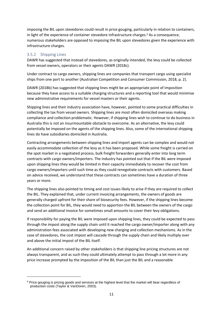imposing the BIL upon stevedores could result in price gouging, particularly in relation to containers, in light of the experience of container stevedore infrastructure charges.<sup>9</sup> As a consequence, numerous stakeholders are opposed to imposing the BIL upon stevedores given the experience with infrastructure charges.

#### <span id="page-14-0"></span>3.5.2 Shipping Lines

 $\overline{\phantom{a}}$ 

DAWR has suggested that instead of stevedores, as originally intended, the levy could be collected from vessel owners, operators or their agents DAWR (2018c).

Under contract to cargo owners, shipping lines are companies that transport cargo using specialist ships from one port to another (Australian Competition and Consumer Commission, 2018, p. 2).

DAWR (2018b) has suggested that shipping lines might be an appropriate point of imposition because they have access to a suitable charging structures and a reporting tool that would minimise new administrative requirements for vessel masters or their agents.

Shipping lines and their industry association have, however, pointed to some practical difficulties in collecting the tax from vessel owners. Shipping lines are most often domiciled overseas making compliance and collection problematic. However, if shipping lines wish to continue to do business in Australia this is not an insurmountable obstacle to overcome. As an alternative, the levy could potentially be imposed on the agents of the shipping lines. Also, some of the international shipping lines do have subsidiaries domiciled in Australia.

Contracting arrangements between shipping lines and import agents can be complex and would not easily accommodate collection of the levy as it has been proposed. While some freight is carried on the spot market in a negotiated process, bulk freight forwarders generally enter into long term contracts with cargo owners/importers. The industry has pointed out that if the BIL were imposed upon shipping lines they would be limited in their capacity immediately to recover the cost from cargo owners/importers until such time as they could renegotiate contracts with customers. Based on advice received, we understand that these contracts can sometimes have a duration of three years or more.

The shipping lines also pointed to timing and cost issues likely to arise if they are required to collect the BIL. They explained that, under current invoicing arrangements, the owners of goods are generally charged upfront for their share of biosecurity fees. However, if the shipping lines become the collection point for BIL, they would need to apportion the BIL between the owners of the cargo and send an additional invoice for sometimes small amounts to cover their levy obligations.

If responsibility for paying the BIL were imposed upon shipping lines, they could be expected to pass through the impost along the supply chain until it reached the cargo owner/importer along with any administration fees associated with developing new charging and collection mechanisms. As in the case of stevedores, the cost impost will cascade through the supply chain and likely multiply over and above the initial impost of the BIL itself.

An additional concern raised by other stakeholders is that shipping line pricing structures are not always transparent, and as such they could ultimately attempt to pass through a lot more in any price increase prompted by the imposition of the BIL than just the BIL and a reasonable

<sup>9</sup> Price gouging is pricing goods and services at the highest level that the market will bear regardless of production costs (Taylor & VanDoren, 2003).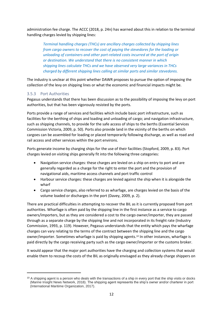administration fee charge. The ACCC (2018, p. 24n) has warned about this in relation to the terminal handling charges levied by shipping lines:

*Terminal handling charges (THCs) are ancillary charges collected by shipping lines from cargo owners to recover the cost of paying the stevedores for the loading or unloading of containers and other port-related costs incurred at the port of origin or destination. We understand that there is no consistent manner in which shipping lines calculate THCs and we have observed very large variances in THCs charged by different shipping lines calling at similar ports and similar stevedores.*

The industry is unclear at this point whether DAWR proposes to pursue the option of imposing the collection of the levy on shipping lines or what the economic and financial impacts might be.

#### <span id="page-15-0"></span>3.5.3 Port Authorities

**.** 

Pegasus understands that there has been discussion as to the possibility of imposing the levy on port authorities, but that has been vigorously resisted by the ports.

Ports provide a range of services and facilities which include basic port infrastructure, such as facilities for the berthing of ships and loading and unloading of cargo; and navigation infrastructure, such as shipping channels, to provide for the safe access of ships to the berths (Essential Services Commission Victoria, 2009, p. 50). Ports also provide land in the vicinity of the berths on which cargoes can be assembled for loading or placed temporarily following discharge, as well as road and rail access and other services within the port environs.

Ports generate income by charging ships for the use of their facilities (Stopford, 2009, p. 83). Port charges levied on visiting ships generally fit into the following three categories:

- Navigation service charges: these charges are levied on a ship on entry to port and are generally regarded as a charge for the right to enter the port and the provision of navigational aids, maritime access channels and port traffic control
- Harbour service charges: these charges are levied against the ship when it is alongside the wharf
- Cargo service charges, also referred to as wharfage, are charges levied on the basis of the volume loaded or discharges in the port (Davey, 2009, p. 2).

There are practical difficulties in attempting to recover the BIL as it is currently proposed from port authorities. Wharfage is often paid by the shipping line in the first instance as a service to cargo owners/importers, but as they are considered a cost to the cargo owner/importer, they are passed through as a separate charge by the shipping line and not incorporated in its freight rate (Industry Commission, 1993, p. 119). However, Pegasus understands that the entity which pays the wharfage charges can vary relating to the terms of the contract between the shipping line and the cargo owner/importer. Sometimes wharfage is paid by shipping agents. <sup>10</sup> In other instances, wharfage is paid directly by the cargo receiving party such as the cargo owner/importer or the customs broker.

It would appear that the major port authorities have the charging and collection systems that would enable them to recoup the costs of the BIL as originally envisaged as they already charge shippers on

 $10$  A shipping agent is a person who deals with the transactions of a ship in every port that the ship visits or docks (Marine Insight News Network, 2018). The shipping agent represents the ship's owner and/or charterer in port (International Maritime Organization, 2017).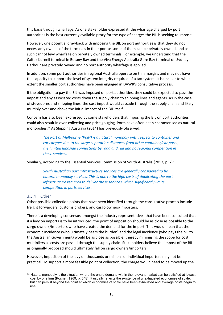this basis through wharfage. As one stakeholder expressed it, the wharfage charged by port authorities is the best currently available proxy for the type of charges the BIL is seeking to impose.

However, one potential drawback with imposing the BIL on port authorities is that they do not necessarily own all of the terminals in their port as some of them can be privately owned, and as such cannot levy wharfage on privately owned terminals. For example, we understand that the Caltex Kurnell terminal in Botany Bay and the Viva Energy Australia Gore Bay terminal on Sydney Harbour are privately owned and no port authority wharfage is applied.

In addition, some port authorities in regional Australia operate on thin margins and may not have the capacity to support the level of system integrity required of a tax system. It is unclear to what extent the smaller port authorities have been engaged in DAWR's consultative process.

If the obligation to pay the BIL was imposed on port authorities, they could be expected to pass the impost and any associated costs down the supply chain to shipping lines and agents. As in the case of stevedores and shipping lines, the cost impost would cascade through the supply chain and likely multiply over and above the initial impost of the BIL itself.

Concern has also been expressed by some stakeholders that imposing the BIL on port authorities could also result in over-collecting and price gouging. Ports have often been characterised as natural monopolies.<sup>11</sup> As Shipping Australia (2014) has previously observed:

*The Port of Melbourne (PoM) is a natural monopoly with respect to container and car cargoes due to the large separation distances from other container/car ports, the limited landside connections by road and rail and no regional competition in these services.*

Similarly, according to the Essential Services Commission of South Australia (2017, p. 7):

*South Australian port infrastructure services are generally considered to be natural monopoly services. This is due to the high costs of duplicating the port infrastructure required to deliver those services, which significantly limits competition in ports services.*

#### <span id="page-16-0"></span>3.5.4 Other

**.** 

Other possible collection points that have been identified through the consultative process include freight forwarders, customs brokers, and cargo owners/importers.

There is a developing consensus amongst the industry representatives that have been consulted that if a levy on imports is to be introduced, the point of imposition should be as close as possible to the cargo owners/importers who have created the demand for the import. This would mean that the economic incidence (who ultimately bears the burden) and the legal incidence (who pays the bill to the Australian Government) would be as close as possible, thereby minimising the scope for cost multipliers as costs are passed through the supply chain. Stakeholders believe the impost of the BIL as originally proposed should ultimately fall on cargo owners/importers.

However, imposition of the levy on thousands or millions of individual importers may not be practical. To support a more feasible point of collection, the charge would need to be moved up the

<sup>&</sup>lt;sup>11</sup> Natural monopoly is the situation where the entire demand within the relevant market can be satisfied at lowest cost by one firm (Posner, 1969, p. 548). It usually reflects the existence of unexhausted economies of scale, but can persist beyond the point at which economies of scale have been exhausted and average costs begin to rise.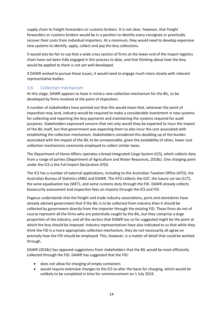supply chain to freight forwarders or customs brokers. It is not clear, however, that freight forwarders or customs brokers would be in a position to identify every consignee or practically recover their costs from individual importers. At a minimum, they would need to develop expensive new systems to identify, apply, collect and pay the levy collections.

It would also be fair to say that a wide cross section of firms at the lower end of the import logistics chain have not been fully engaged in this process to date, and that thinking about how the levy would be applied to them is not yet well developed.

If DAWR wished to pursue these issues, it would need to engage much more closely with relevant representative bodies.

#### <span id="page-17-0"></span>3.6 Collection mechanism

At this stage, DAWR appears to have in mind a new collection mechanism for the BIL, to be developed by firms involved at the point of imposition.

A number of stakeholders have pointed out that this would mean that, wherever the point of imposition may land, industry would be required to make a considerable investment in new systems for collecting and reporting the levy payments and maintaining the systems required for audit purposes. Stakeholders expressed concern that not only would they be expected to incur the impost of the BIL itself, but that government was expecting them to also incur the cost associated with establishing the collection mechanism. Stakeholders considered this doubling up of the burden associated with the impost of the BIL to be unreasonable, given the availability of other, lower cost collection mechanisms commonly employed to collect similar taxes.

The Department of Home Affairs operates a broad Integrated Cargo System (ICS), which collects data from a range of parties (Department of Agriculture and Water Resources, 2018c). One charging point under the ICS is the Full Import Declaration (FID).

The ICS has a number of external applications, including to the Australian Taxation Office (ATO), the Australian Bureau of Statistics (ABS) and DAWR. The ATO collects the GST, the luxury car tax (LCT), the wine equalisation tax (WET), and some customs duty through the FID. DAWR already collects biosecurity assessment and inspection fees on imports through the ICS and FID.

Pegasus understands that the freight and trade industry associations, ports and stevedores have already advised government that if the BIL is to be collected from industry then it should be collected by government directly from the importer through the existing FID. These firms do not of course represent all the firms who are potentially caught by the BIL, but they comprise a large proportion of the industry, and all the sectors that DAWR has so far suggested might be the point at which the levy should be imposed. Industry representatives have also indicated to us that while they think the FID is a more appropriate collection mechanism, they do not necessarily all agree on precisely how the FID should be employed. This, however, is a matter of detail that could be worked through.

DAWR (2018c) has opposed suggestions from stakeholders that the BIL would be most efficiently collected through the FID. DAWR has suggested that the FID:

- does not allow for charging of empty containers
- would require extensive changes to the ICS to alter the basis for charging, which would be unlikely to be completed in time for commencement on 1 July 2019.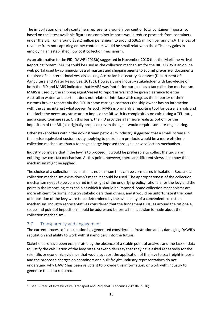The importation of empty containers represents around 7 per cent of total container imports, so based on the latest available figures on container imports would reduce proceeds from containers under the BIL from around \$39.2 million per annum to around \$36.5 million per annum.<sup>12</sup> The loss of revenue from not capturing empty containers would be small relative to the efficiency gains in employing an established, low cost collection mechanism.

As an alternative to the FID, DAWR (2018b) suggested in November 2018 that the Maritime Arrivals Reporting System (MARS) could be used as the collection mechanism for the BIL. MARS is an online web portal used by commercial vessel masters and shipping agents to submit pre-arrival documents required of all international vessels seeking Australian biosecurity clearance (Department of Agriculture and Water Resources, 2018d). However, one industry stakeholder with knowledge of both the FID and MARS indicated that MARS was 'not fit for purpose' as a tax collection mechanism. MARS is used by the shipping agent/vessel to report arrival and be given clearance to enter Australian waters and berth. It does not relate or interface with cargo as the importer or their customs broker reports via the FID. In some carriage contracts the ship owner has no interaction with the cargo interest whatsoever. As such, MARS is primarily a reporting tool for vessel arrivals and thus lacks the necessary structure to impose the BIL with its complexities on calculating a TEU rate, and a cargo tonnage rate. On this basis, the FID provides a far more realistic option for the imposition of the BIL (as originally proposed) even though it would require some re-engineering.

Other stakeholders within the downstream petroleum industry suggested that a small increase in the excise equivalent customs duty applying to petroleum products would be a more efficient collection mechanism than a tonnage charge imposed through a new collection mechanism.

Industry considers that if the levy is to proceed, it would be preferable to collect the tax via an existing low-cost tax mechanism. At this point, however, there are different views as to how that mechanism might be applied.

The choice of a collection mechanism is not an issue that can be considered in isolation. Because a collection mechanism exists doesn't mean it should be used. The appropriateness of the collection mechanism needs to be considered in the light of the underlying policy rationale for the levy and the point in the import logistics chain at which it should be imposed. Some collection mechanisms are more efficient for some industry stakeholders than others, and it would be unfortunate if the point of imposition of the levy were to be determined by the availability of a convenient collection mechanism. Industry representatives considered that the fundamental issues around the rationale, scope and point of imposition should be addressed before a final decision is made about the collection mechanism.

#### <span id="page-18-0"></span>3.7 Transparency and engagement

**.** 

The current process of consultation has generated considerable frustration and is damaging DAWR's reputation and ability to work with stakeholders into the future.

Stakeholders have been exasperated by the absence of a stable point of analysis and the lack of data to justify the calculation of the levy rates. Stakeholders say that they have asked repeatedly for the scientific or economic evidence that would support the application of the levy to sea freight imports and the proposed charges on containers and bulk freight. Industry representatives do not understand why DAWR has been reluctant to provide this information, or work with industry to generate the data required.

<sup>&</sup>lt;sup>12</sup> See Bureau of Infrastructure, Transport and Regional Economics (2018a, p. 16).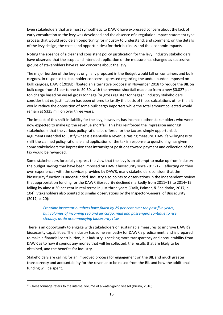Even stakeholders that are most sympathetic to DAWR have expressed concern about the lack of early consultation as the levy was developed and the absence of a regulation impact statement type process that would provide an opportunity for industry to understand, and comment, on the details of the levy design, the costs (and opportunities) for their business and the economic impacts.

Noting the absence of a clear and consistent policy justification for the levy, industry stakeholders have observed that the scope and intended application of the measure has changed as successive groups of stakeholders have raised concerns about the levy.

The major burden of the levy as originally proposed in the Budget would fall on containers and bulk cargoes. In response to stakeholder concerns expressed regarding the undue burden imposed on bulk cargoes, DAWR (2018b) floated an alternative proposal in November 2018 to reduce the BIL on bulk cargo from \$1 per tonne to \$0.50, with the revenue shortfall made up from a new \$0.027 per ton charge based on vessel gross tonnage (or gross register tonnage). <sup>13</sup> Industry stakeholders consider that no justification has been offered to justify the basis of these calculations other than it would reduce the opposition of some bulk cargo importers while the total amount collected would remain at \$325 million over three years.

The impact of this shift in liability for the levy, however, has incensed other stakeholders who were now expected to make up the revenue shortfall. This has reinforced the impression amongst stakeholders that the various policy rationales offered for the tax are simply opportunistic arguments intended to justify what is essentially a revenue raising measure. DAWR's willingness to shift the claimed policy rationale and application of the tax in response to questioning has given some stakeholders the impression that intransigent positions toward payment and collection of the tax would be rewarded.

Some stakeholders forcefully express the view that the levy is an attempt to make up from industry the budget savings that have been imposed on DAWR biosecurity since 2011-12. Reflecting on their own experiences with the services provided by DAWR, many stakeholders consider that the biosecurity function is under-funded. Industry also points to observations in the independent review that appropriation funding for the DAWR Biosecurity declined markedly from 2011–12 to 2014–15, falling by almost 30 per cent in real terms in just three years (Craik, Palmer, & Sheldrake, 2017, p. 104). Stakeholders also pointed to similar observations by the Inspector-General of Biosecurity (2017, p. 20):

*Frontline inspector numbers have fallen by 25 per cent over the past five years, but volumes of incoming sea and air cargo, mail and passengers continue to rise steadily, as do accompanying biosecurity risks.*

There is an opportunity to engage with stakeholders on sustainable measures to improve DAWR's biosecurity capabilities. The industry has some sympathy for DAWR's predicament, and is prepared to make a financial contribution, but industry is seeking more transparency and accountability from DAWR as to how it spends any money that will be collected, the results that are likely to be obtained, and the benefits for industry.

Stakeholders are calling for an improved process for engagement on the BIL and much greater transparency and accountability for the revenue to be raised from the BIL and how the additional funding will be spent.

**.** 

<sup>&</sup>lt;sup>13</sup> Gross tonnage refers to the internal volume of a water-going vessel (Bruno, 2018).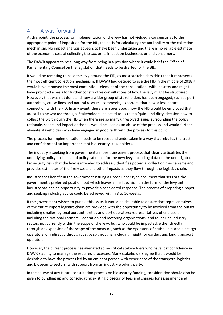## <span id="page-20-0"></span>4 A way forward

At this point, the process for implementation of the levy has not yielded a consensus as to the appropriate point of imposition for the BIL, the basis for calculating the tax liability or the collection mechanism. No impact analysis appears to have been undertaken and there is no reliable estimate of the economic cost of collecting the tax, or its impact on businesses or end consumers.

The DAWR appears to be a long way from being in a position where it could brief the Office of Parliamentary Counsel on the legislation that needs to be drafted for the BIL.

It would be tempting to base the levy around the FID, as most stakeholders think that it represents the most efficient collection mechanism. If DAWR had decided to use the FID in the middle of 2018 it would have removed the most contentious element of the consultations with industry and might have provided a basis for further constructive consultations of how the levy might be structured. However, that was not done and now a wider group of stakeholders has been engaged, such as port authorities, cruise lines and natural resource commodity exporters, that have a less natural connection with the FID. In any event, there are issues about how the FID would be employed that are still to be worked through. Stakeholders indicated to us that a 'quick and dirty' decision now to collect the BIL through the FID when there are so many unresolved issues surrounding the policy rationale, scope and impact of the tax would be seen as an abuse of the process and would further alienate stakeholders who have engaged in good faith with the process to this point.

The process for implementation needs to be reset and undertaken in a way that rebuilds the trust and confidence of an important set of biosecurity stakeholders.

The industry is seeking from government a more transparent process that clearly articulates the underlying policy problem and policy rationale for the new levy, including data on the unmitigated biosecurity risks that the levy is intended to address, identifies potential collection mechanisms and provides estimates of the likely costs and other impacts as they flow through the logistics chain.

Industry sees benefit in the government issuing a Green Paper type document that sets out the government's preferred position, but which leaves a final decision on the form of the levy until industry has had an opportunity to provide a considered response. The process of preparing a paper and seeking industry advice could be achieved within 8 to 10 weeks.

If the government wishes to pursue this issue, it would be desirable to ensure that representatives of the entire import logistics chain are provided with the opportunity to be involved from the outset; including smaller regional port authorities and port operators; representatives of end users, including the National Farmers' Federation and motoring organisations; and to include industry sectors not currently within the scope of the levy, but who could be impacted, either directly through an expansion of the scope of the measure, such as the operators of cruise lines and air cargo operators, or indirectly through cost pass-throughs, including freight forwarders and land transport operators.

However, the current process has alienated some critical stakeholders who have lost confidence in DAWR's ability to manage the required processes. Many stakeholders agree that it would be desirable to have the process led by an eminent person with experience of the transport, logistics and biosecurity sectors, with support from an industry working party.

In the course of any future consultation process on biosecurity funding, consideration should also be given to bundling up and consolidating existing biosecurity fees and charges for assessment and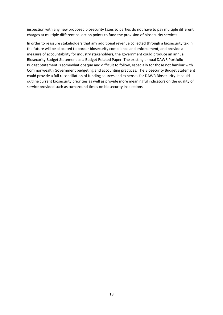inspection with any new proposed biosecurity taxes so parties do not have to pay multiple different charges at multiple different collection points to fund the provision of biosecurity services.

In order to reassure stakeholders that any additional revenue collected through a biosecurity tax in the future will be allocated to border biosecurity compliance and enforcement, and provide a measure of accountability for industry stakeholders, the government could produce an annual Biosecurity Budget Statement as a Budget Related Paper. The existing annual DAWR Portfolio Budget Statement is somewhat opaque and difficult to follow, especially for those not familiar with Commonwealth Government budgeting and accounting practices. The Biosecurity Budget Statement could provide a full reconciliation of funding sources and expenses for DAWR Biosecurity. It could outline current biosecurity priorities as well as provide more meaningful indicators on the quality of service provided such as turnaround times on biosecurity inspections.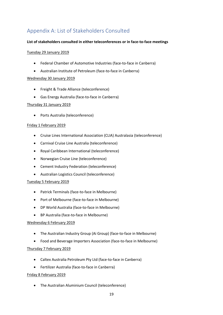## <span id="page-22-0"></span>Appendix A: List of Stakeholders Consulted

#### **List of stakeholders consulted in either teleconferences or in face-to-face meetings**

#### Tuesday 29 January 2019

- Federal Chamber of Automotive Industries (face-to-face in Canberra)
- Australian Institute of Petroleum (face-to-face in Canberra)

#### Wednesday 30 January 2019

- Freight & Trade Alliance (teleconference)
- Gas Energy Australia (face-to-face in Canberra)

#### Thursday 31 January 2019

• Ports Australia (teleconference)

#### Friday 1 February 2019

- Cruise Lines International Association (CLIA) Australasia (teleconference)
- Carnival Cruise Line Australia (teleconference)
- Royal Caribbean International (teleconference)
- Norwegian Cruise Line (teleconference)
- Cement Industry Federation (teleconference)
- Australian Logistics Council (teleconference)

#### Tuesday 5 February 2019

- Patrick Terminals (face-to-face in Melbourne)
- Port of Melbourne (face-to-face in Melbourne)
- DP World Australia (face-to-face in Melbourne)
- BP Australia (face-to-face in Melbourne)

#### Wednesday 6 February 2019

- The Australian Industry Group (Ai Group) (face-to-face in Melbourne)
- Food and Beverage Importers Association (face-to-face in Melbourne)

#### Thursday 7 February 2019

- Caltex Australia Petroleum Pty Ltd (face-to-face in Canberra)
- Fertilizer Australia (face-to-face in Canberra)

#### Friday 8 February 2019

• The Australian Aluminium Council (teleconference)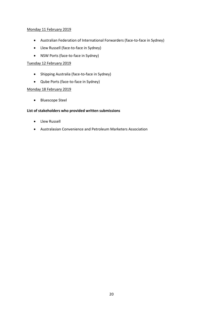#### Monday 11 February 2019

- Australian Federation of International Forwarders (face-to-face in Sydney)
- Llew Russell (face-to-face in Sydney)
- NSW Ports (face-to-face in Sydney)

#### Tuesday 12 February 2019

- Shipping Australia (face-to-face in Sydney)
- Qube Ports (face-to-face in Sydney)

#### Monday 18 February 2019

• Bluescope Steel

#### **List of stakeholders who provided written submissions**

- Llew Russell
- Australasian Convenience and Petroleum Marketers Association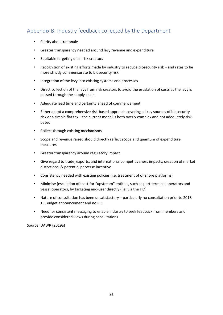## <span id="page-24-0"></span>Appendix B: Industry feedback collected by the Department

- Clarity about rationale
- Greater transparency needed around levy revenue and expenditure
- Equitable targeting of all risk creators
- Recognition of existing efforts made by industry to reduce biosecurity risk and rates to be more strictly commensurate to biosecurity risk
- Integration of the levy into existing systems and processes
- Direct collection of the levy from risk creators to avoid the escalation of costs as the levy is passed through the supply chain
- Adequate lead time and certainty ahead of commencement
- Either adopt a comprehensive risk-based approach covering all key sources of biosecurity risk or a simple flat tax – the current model is both overly complex and not adequately riskbased
- Collect through existing mechanisms
- Scope and revenue raised should directly reflect scope and quantum of expenditure measures
- Greater transparency around regulatory impact
- Give regard to trade, exports, and international competitiveness impacts; creation of market distortions; & potential perverse incentive
- Consistency needed with existing policies (i.e. treatment of offshore platforms)
- Minimise (escalation of) cost for "upstream" entities, such as port terminal operators and vessel operators, by targeting end-user directly (i.e. via the FID)
- Nature of consultation has been unsatisfactory particularly no consultation prior to 2018- 19 Budget announcement and no RIS
- Need for consistent messaging to enable industry to seek feedback from members and provide considered views during consultations

Source: DAWR (2019a)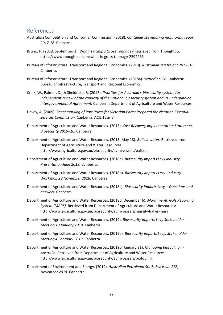#### <span id="page-25-0"></span>References

- Australian Competition and Consumer Commission. (2018). *Container stevedoring monitoring report 2017-18.* Canberra.
- Bruno, P. (2018, September 3). *What is a Ship's Gross Tonnage?* Retrieved from ThoughtCo: https://www.thoughtco.com/what-is-gross-tonnage-2292983
- Bureau of Infrastructure, Transport and Regional Economics. (2018). *Australian sea freight 2015–16.* Canberra.
- Bureau of Infrastructure, Transport and Regional Economics. (2018a). *Waterline 62.* Canberra: Bureau of Infrastructure, Transport and Regional Economics.
- Craik, W., Palmer, D., & Sheldrake, R. (2017). *Priorities for Australia's biosecurity system, An independent review of the capacity of the national biosecurity system and its underpinning Intergovernmental Agreement.* Canberra: Department of Agriculture and Water Resources.
- Davey, A. (2009). *Benchmarking of Port Prices for Victorian Ports: Prepared for Victorian Essential Services Commission.* Canberra: ACIL Tasman.
- Department of Agriculture and Water Resources. (2015). *Cost Recovery Implementation Statement, Biosecurity 2015–16.* Canberra.
- Department of Agriculture and Water Resources. (2018, May 18). *Ballast water.* Retrieved from Department of Agriculture and Water Resources: http://www.agriculture.gov.au/biosecurity/avm/vessels/ballast
- Department of Agriculture and Water Resources. (2018a). *Biosecurity Imports Levy Industry Presentation June 2018.* Canberra.
- Department of Agriculture and Water Resources. (2018b). *Biosecurity Imports Levy: Industry Workshop 28 November 2018.* Canberra.
- Department of Agriculture and Water Resources. (2018c). *Biosecurity Imports Levy – Questions and answers.* Canberra.
- Department of Agriculture and Water Resources. (2018d, December 6). *Maritime Arrivals Reporting System (MARS).* Retrieved from Department of Agriculture and Water Resources: http://www.agriculture.gov.au/biosecurity/avm/vessels/mars#what-is-mars
- Department of Agriculture and Water Resources. (2019). *Biosecurity Imports Levy Stakeholder Meeting 10 January 2019.* Canberra.
- Department of Agriculture and Water Resources. (2019a). *Biosecurity Imports Levy: Stakeholder Meeting 4 February 2019.* Canberra.
- Department of Agriculture and Water Resources. (2019b, January 21). *Managing biofouling in Australia.* Retrieved from Department of Agriculture and Water Resources: http://www.agriculture.gov.au/biosecurity/avm/vessels/biofouling
- Department of Environment and Energy. (2019). *Australian Petroleum Statistics: Issue 268, November 2018.* Canberra.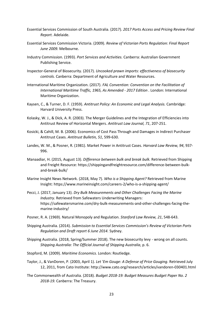- Essential Services Commission of South Australia. (2017). *2017 Ports Access and Pricing Review Final Report.* Adelaide.
- Essential Services Commission Victoria. (2009). *Review of Victorian Ports Regulation: Final Report June 2009.* Melbourne.
- Industry Commission. (1993). *Port Services and Activities.* Canberra: Australian Government Publishing Service.
- Inspector-General of Biosecurity. (2017). *Uncooked prawn imports: effectiveness of biosecurity controls.* Canberra: Department of Agriculture and Water Resources.
- International Maritime Organization. (2017). *FAL Convention: Convention on the Facilitation of International Maritime Traffic, 1965, As Amended - 2017 Edition .* London: International Maritime Organization.
- Kaysen, C., & Turner, D. F. (1959). *Antitrust Policy: An Economic and Legal Analysis.* Cambridge: Harvard University Press.
- Kolasky, W. J., & Dick, A. R. (2003). The Merger Guidelines and the Integration of Efficiencies into Antitrust Review of Horizontal Mergers. *Antitrust Law Journal, 71*, 207-251.
- Kosicki, & Cahill, M. B. (2006). Economics of Cost Pass Through and Damages in Indirect Purchaser Antitrust Cases. *Antitrust Bulletin, 51*, 599-630.
- Landes, W. M., & Posner, R. (1981). Market Power in Antitrust Cases. *Harvard Law Review, 94*, 937- 996.
- Manaadiar, H. (2015, August 13). *Difference between bulk and break bulk.* Retrieved from Shipping and Freight Resource: https://shippingandfreightresource.com/difference-between-bulkand-break-bulk/
- Marine Insight News Network. (2018, May 7). *Who is a Shipping Agent?* Retrieved from Marine Insight: https://www.marineinsight.com/careers-2/who-is-a-shipping-agent/
- Pecci, J. (2017, January 13). *Dry Bulk Measurements and Other Challenges Facing the Marine Industry.* Retrieved from Safewaters Underwriting Managers: https://safewatersmarine.com/dry-bulk-measurements-and-other-challenges-facing-themarine-industry/
- Posner, R. A. (1969). Natural Monopoly and Regulation. *Stanford Law Review, 21*, 548-643.
- Shipping Australia. (2014). *Submission to Essential Services Commission's Review of Victorian Ports Regulation and Draft report 6 June 2014.* Sydney.
- Shipping Australia. (2018, Spring/Summer 2018). The new biosecurity levy wrong on all counts. *Shipping Australia: The Official Journal of Shipping Australia*, p. 6.
- Stopford, M. (2009). *Maritime Economics.* London: Routledge.
- Taylor, J., & VanDoren, P. (2003, April 1). *Let 'Em Gouge: A Defense of Price Gouging*. Retrieved July 12, 2011, from Cato Institute: http://www.cato.org/research/articles/vandoren-030401.html
- The Commonwealth of Australia. (2018). *Budget 2018-19: Budget Measures Budget Paper No. 2 2018-19.* Canberra: The Treasury.